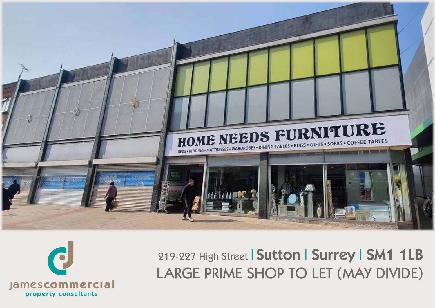



219-227 High Street | Sutton | Surrey | SM1 1LB LARGE PRIME SHOP TO LET (MAY DIVIDE)